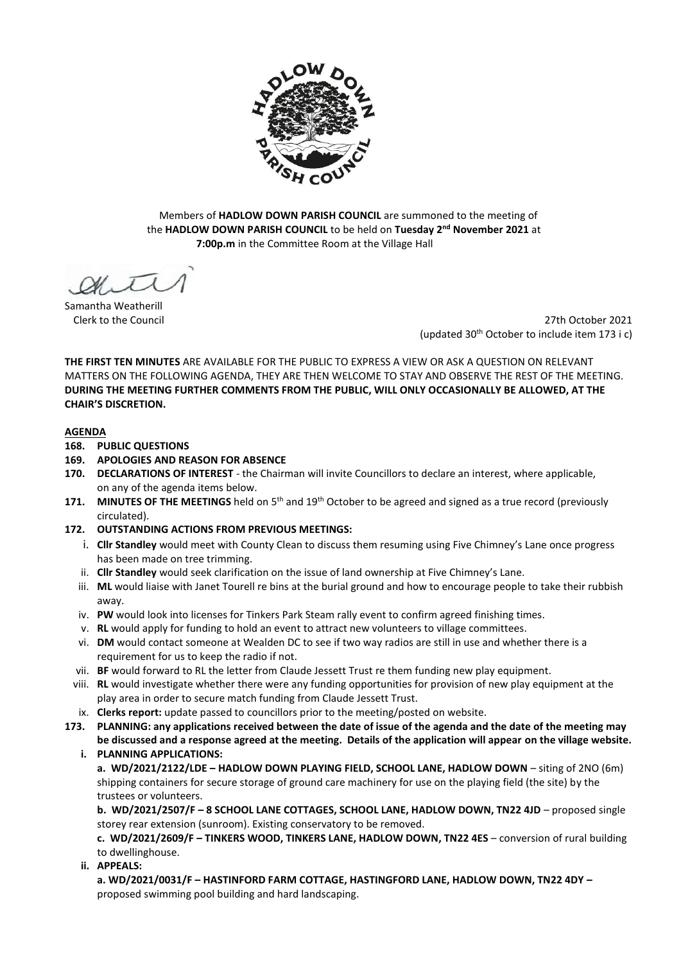

Members of **HADLOW DOWN PARISH COUNCIL** are summoned to the meeting of the **HADLOW DOWN PARISH COUNCIL** to be held on **Tuesday 2 nd November 2021** at  **7:00p.m** in the Committee Room at the Village Hall

Samantha Weatherill

Clerk to the Council 27th October 2021 (updated 30th October to include item 173 i c)

**THE FIRST TEN MINUTES** ARE AVAILABLE FOR THE PUBLIC TO EXPRESS A VIEW OR ASK A QUESTION ON RELEVANT MATTERS ON THE FOLLOWING AGENDA, THEY ARE THEN WELCOME TO STAY AND OBSERVE THE REST OF THE MEETING. **DURING THE MEETING FURTHER COMMENTS FROM THE PUBLIC, WILL ONLY OCCASIONALLY BE ALLOWED, AT THE CHAIR'S DISCRETION.**

### **AGENDA**

### **168. PUBLIC QUESTIONS**

- **169. APOLOGIES AND REASON FOR ABSENCE**
- **170. DECLARATIONS OF INTEREST** the Chairman will invite Councillors to declare an interest, where applicable, on any of the agenda items below.
- 171. **MINUTES OF THE MEETINGS** held on 5<sup>th</sup> and 19<sup>th</sup> October to be agreed and signed as a true record (previously circulated).
- **172. OUTSTANDING ACTIONS FROM PREVIOUS MEETINGS:**
	- i. **Cllr Standley** would meet with County Clean to discuss them resuming using Five Chimney's Lane once progress has been made on tree trimming.
	- ii. **Cllr Standley** would seek clarification on the issue of land ownership at Five Chimney's Lane.
	- iii. **ML** would liaise with Janet Tourell re bins at the burial ground and how to encourage people to take their rubbish away.
	- iv. **PW** would look into licenses for Tinkers Park Steam rally event to confirm agreed finishing times.
	- v. **RL** would apply for funding to hold an event to attract new volunteers to village committees.
	- vi. **DM** would contact someone at Wealden DC to see if two way radios are still in use and whether there is a requirement for us to keep the radio if not.
	- vii. **BF** would forward to RL the letter from Claude Jessett Trust re them funding new play equipment.
	- viii. **RL** would investigate whether there were any funding opportunities for provision of new play equipment at the play area in order to secure match funding from Claude Jessett Trust.
	- ix. **Clerks report:** update passed to councillors prior to the meeting/posted on website.
- **173. PLANNING: any applications received between the date of issue of the agenda and the date of the meeting may be discussed and a response agreed at the meeting. Details of the application will appear on the village website.** 
	- **i. PLANNING APPLICATIONS:**
		- **a. WD/2021/2122/LDE – HADLOW DOWN PLAYING FIELD, SCHOOL LANE, HADLOW DOWN**  siting of 2NO (6m) shipping containers for secure storage of ground care machinery for use on the playing field (the site) by the trustees or volunteers.

**b. WD/2021/2507/F – 8 SCHOOL LANE COTTAGES, SCHOOL LANE, HADLOW DOWN, TN22 4JD** – proposed single storey rear extension (sunroom). Existing conservatory to be removed.

**c. WD/2021/2609/F – TINKERS WOOD, TINKERS LANE, HADLOW DOWN, TN22 4ES** – conversion of rural building to dwellinghouse.

**ii. APPEALS:**

**a. WD/2021/0031/F – HASTINFORD FARM COTTAGE, HASTINGFORD LANE, HADLOW DOWN, TN22 4DY –** proposed swimming pool building and hard landscaping.